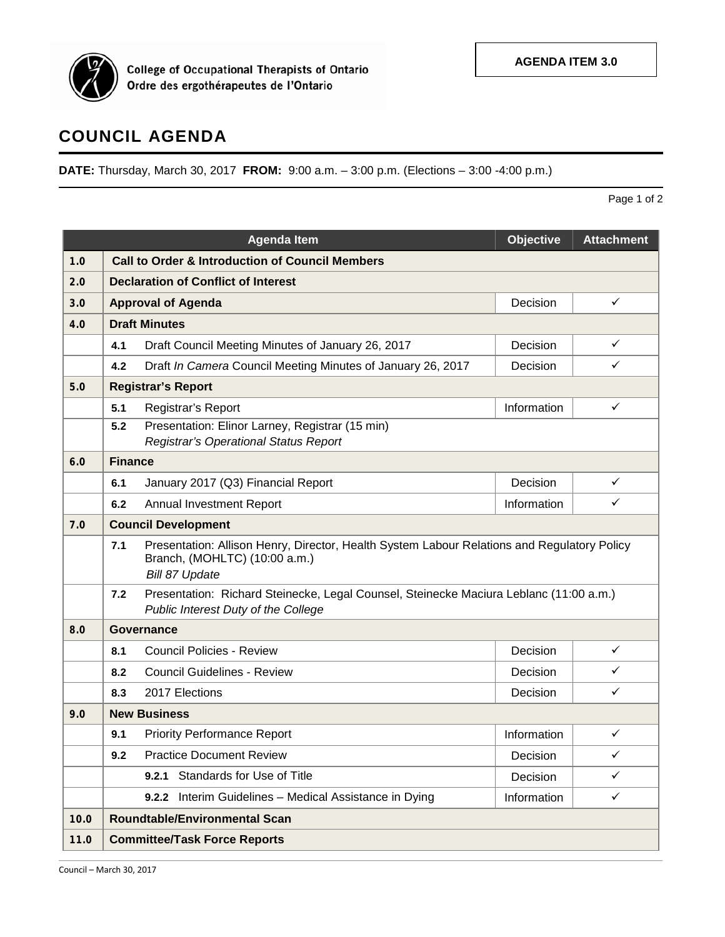

College of Occupational Therapists of Ontario<br>Ordre des ergothérapeutes de l'Ontario

## **COUNCIL AGENDA**

**DATE:** Thursday, March 30, 2017 **FROM:** 9:00 a.m. – 3:00 p.m. (Elections – 3:00 -4:00 p.m.)

Page 1 of 2

|      |                                                            | <b>Agenda Item</b>                                                                                                                             | Objective   | <b>Attachment</b> |  |  |
|------|------------------------------------------------------------|------------------------------------------------------------------------------------------------------------------------------------------------|-------------|-------------------|--|--|
| 1.0  | <b>Call to Order &amp; Introduction of Council Members</b> |                                                                                                                                                |             |                   |  |  |
| 2.0  | <b>Declaration of Conflict of Interest</b>                 |                                                                                                                                                |             |                   |  |  |
| 3.0  |                                                            | <b>Approval of Agenda</b>                                                                                                                      | Decision    | $\checkmark$      |  |  |
| 4.0  |                                                            | <b>Draft Minutes</b>                                                                                                                           |             |                   |  |  |
|      | 4.1                                                        | Draft Council Meeting Minutes of January 26, 2017                                                                                              | Decision    | $\checkmark$      |  |  |
|      | 4.2                                                        | Draft In Camera Council Meeting Minutes of January 26, 2017                                                                                    | Decision    | ✓                 |  |  |
| 5.0  |                                                            | <b>Registrar's Report</b>                                                                                                                      |             |                   |  |  |
|      | 5.1                                                        | Registrar's Report                                                                                                                             | Information | $\checkmark$      |  |  |
|      | 5.2                                                        | Presentation: Elinor Larney, Registrar (15 min)<br>Registrar's Operational Status Report                                                       |             |                   |  |  |
| 6.0  |                                                            | <b>Finance</b>                                                                                                                                 |             |                   |  |  |
|      | 6.1                                                        | January 2017 (Q3) Financial Report                                                                                                             | Decision    | $\checkmark$      |  |  |
|      | 6.2                                                        | <b>Annual Investment Report</b>                                                                                                                | Information | ✓                 |  |  |
| 7.0  |                                                            | <b>Council Development</b>                                                                                                                     |             |                   |  |  |
|      | 7.1                                                        | Presentation: Allison Henry, Director, Health System Labour Relations and Regulatory Policy<br>Branch, (MOHLTC) (10:00 a.m.)<br>Bill 87 Update |             |                   |  |  |
|      | 7.2                                                        | Presentation: Richard Steinecke, Legal Counsel, Steinecke Maciura Leblanc (11:00 a.m.)<br>Public Interest Duty of the College                  |             |                   |  |  |
| 8.0  |                                                            | <b>Governance</b>                                                                                                                              |             |                   |  |  |
|      | 8.1                                                        | <b>Council Policies - Review</b>                                                                                                               | Decision    | ✓                 |  |  |
|      | 8.2                                                        | <b>Council Guidelines - Review</b>                                                                                                             | Decision    | ✓                 |  |  |
|      | 8.3                                                        | 2017 Elections                                                                                                                                 | Decision    | $\checkmark$      |  |  |
| 9.0  | <b>New Business</b>                                        |                                                                                                                                                |             |                   |  |  |
|      | 9.1                                                        | <b>Priority Performance Report</b>                                                                                                             | Information | ✓                 |  |  |
|      | 9.2                                                        | <b>Practice Document Review</b>                                                                                                                | Decision    | $\checkmark$      |  |  |
|      |                                                            | Standards for Use of Title<br>9.2.1                                                                                                            | Decision    | ✓                 |  |  |
|      |                                                            | Interim Guidelines - Medical Assistance in Dying<br>9.2.2                                                                                      | Information | ✓                 |  |  |
| 10.0 |                                                            | <b>Roundtable/Environmental Scan</b>                                                                                                           |             |                   |  |  |
| 11.0 | <b>Committee/Task Force Reports</b>                        |                                                                                                                                                |             |                   |  |  |